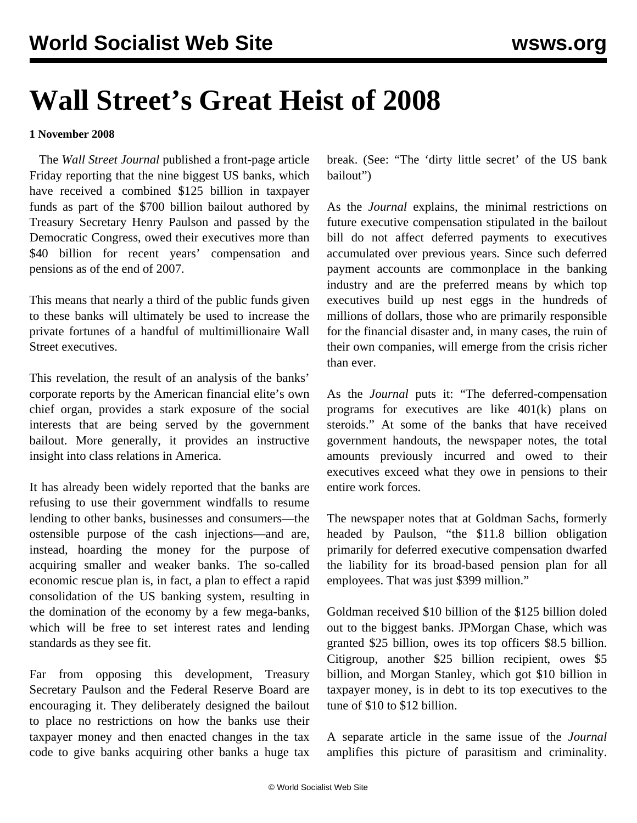## **Wall Street's Great Heist of 2008**

## **1 November 2008**

 The *Wall Street Journal* published a front-page article Friday reporting that the nine biggest US banks, which have received a combined \$125 billion in taxpayer funds as part of the \$700 billion bailout authored by Treasury Secretary Henry Paulson and passed by the Democratic Congress, owed their executives more than \$40 billion for recent years' compensation and pensions as of the end of 2007.

This means that nearly a third of the public funds given to these banks will ultimately be used to increase the private fortunes of a handful of multimillionaire Wall Street executives.

This revelation, the result of an analysis of the banks' corporate reports by the American financial elite's own chief organ, provides a stark exposure of the social interests that are being served by the government bailout. More generally, it provides an instructive insight into class relations in America.

It has already been widely reported that the banks are refusing to use their government windfalls to resume lending to other banks, businesses and consumers—the ostensible purpose of the cash injections—and are, instead, hoarding the money for the purpose of acquiring smaller and weaker banks. The so-called economic rescue plan is, in fact, a plan to effect a rapid consolidation of the US banking system, resulting in the domination of the economy by a few mega-banks, which will be free to set interest rates and lending standards as they see fit.

Far from opposing this development, Treasury Secretary Paulson and the Federal Reserve Board are encouraging it. They deliberately designed the bailout to place no restrictions on how the banks use their taxpayer money and then enacted changes in the tax code to give banks acquiring other banks a huge tax

break. (See: ["The 'dirty little secret' of the US bank](/en/articles/2008/oct2008/pers-o27.shtml) [bailout"](/en/articles/2008/oct2008/pers-o27.shtml))

As the *Journal* explains, the minimal restrictions on future executive compensation stipulated in the bailout bill do not affect deferred payments to executives accumulated over previous years. Since such deferred payment accounts are commonplace in the banking industry and are the preferred means by which top executives build up nest eggs in the hundreds of millions of dollars, those who are primarily responsible for the financial disaster and, in many cases, the ruin of their own companies, will emerge from the crisis richer than ever.

As the *Journal* puts it: "The deferred-compensation programs for executives are like 401(k) plans on steroids." At some of the banks that have received government handouts, the newspaper notes, the total amounts previously incurred and owed to their executives exceed what they owe in pensions to their entire work forces.

The newspaper notes that at Goldman Sachs, formerly headed by Paulson, "the \$11.8 billion obligation primarily for deferred executive compensation dwarfed the liability for its broad-based pension plan for all employees. That was just \$399 million."

Goldman received \$10 billion of the \$125 billion doled out to the biggest banks. JPMorgan Chase, which was granted \$25 billion, owes its top officers \$8.5 billion. Citigroup, another \$25 billion recipient, owes \$5 billion, and Morgan Stanley, which got \$10 billion in taxpayer money, is in debt to its top executives to the tune of \$10 to \$12 billion.

A separate article in the same issue of the *Journal* amplifies this picture of parasitism and criminality.